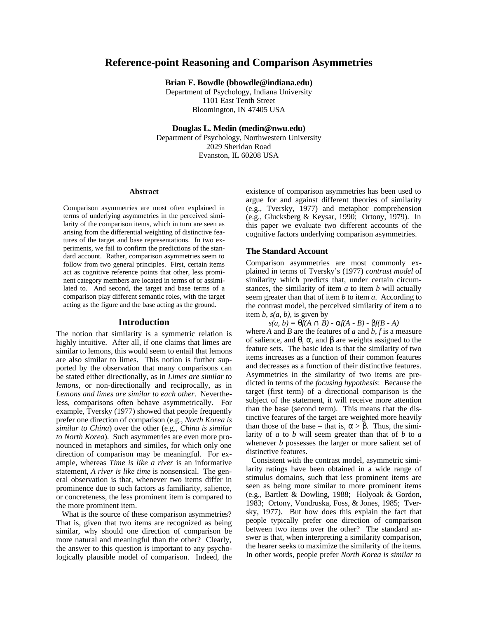# **Reference-point Reasoning and Comparison Asymmetries**

**Brian F. Bowdle (bbowdle@indiana.edu)**

Department of Psychology, Indiana University 1101 East Tenth Street Bloomington, IN 47405 USA

**Douglas L. Medin (medin@nwu.edu)** Department of Psychology, Northwestern University

> 2029 Sheridan Road Evanston, IL 60208 USA

#### **Abstract**

Comparison asymmetries are most often explained in terms of underlying asymmetries in the perceived similarity of the comparison items, which in turn are seen as arising from the differential weighting of distinctive features of the target and base representations. In two experiments, we fail to confirm the predictions of the standard account. Rather, comparison asymmetries seem to follow from two general principles. First, certain items act as cognitive reference points that other, less prominent category members are located in terms of or assimilated to. And second, the target and base terms of a comparison play different semantic roles, with the target acting as the figure and the base acting as the ground.

#### **Introduction**

The notion that similarity is a symmetric relation is highly intuitive. After all, if one claims that limes are similar to lemons, this would seem to entail that lemons are also similar to limes. This notion is further supported by the observation that many comparisons can be stated either directionally, as in *Limes are similar to lemons*, or non-directionally and reciprocally, as in *Lemons and limes are similar to each other*. Nevertheless, comparisons often behave asymmetrically. For example, Tversky (1977) showed that people frequently prefer one direction of comparison (e.g., *North Korea is similar to China*) over the other (e.g., *China is similar to North Korea*). Such asymmetries are even more pronounced in metaphors and similes, for which only one direction of comparison may be meaningful. For example, whereas *Time is like a river* is an informative statement, *A river is like time* is nonsensical. The general observation is that, whenever two items differ in prominence due to such factors as familiarity, salience, or concreteness, the less prominent item is compared to the more prominent item.

What is the source of these comparison asymmetries? That is, given that two items are recognized as being similar, why should one direction of comparison be more natural and meaningful than the other? Clearly, the answer to this question is important to any psychologically plausible model of comparison. Indeed, the

existence of comparison asymmetries has been used to argue for and against different theories of similarity (e.g., Tversky, 1977) and metaphor comprehension (e.g., Glucksberg & Keysar, 1990; Ortony, 1979). In this paper we evaluate two different accounts of the cognitive factors underlying comparison asymmetries.

### **The Standard Account**

Comparison asymmetries are most commonly explained in terms of Tversky's (1977) *contrast model* of similarity which predicts that, under certain circumstances, the similarity of item *a* to item *b* will actually seem greater than that of item *b* to item *a*. According to the contrast model, the perceived similarity of item *a* to item *b*, *s(a, b)*, is given by

 $s(a, b) = qf(A \ C B) - qf(A - B) - bf(B - A)$ 

where *A* and *B* are the features of *a* and *b*, *f* is a measure of salience, and *q*, *a*, and *b* are weights assigned to the feature sets. The basic idea is that the similarity of two items increases as a function of their common features and decreases as a function of their distinctive features. Asymmetries in the similarity of two items are predicted in terms of the *focusing hypothesis*: Because the target (first term) of a directional comparison is the subject of the statement, it will receive more attention than the base (second term). This means that the distinctive features of the target are weighted more heavily than those of the base – that is,  $\mathbf{a} > \mathbf{b}$ . Thus, the similarity of *a* to *b* will seem greater than that of *b* to *a* whenever *b* possesses the larger or more salient set of distinctive features.

Consistent with the contrast model, asymmetric similarity ratings have been obtained in a wide range of stimulus domains, such that less prominent items are seen as being more similar to more prominent items (e.g., Bartlett & Dowling, 1988; Holyoak & Gordon, 1983; Ortony, Vondruska, Foss, & Jones, 1985; Tversky, 1977). But how does this explain the fact that people typically prefer one direction of comparison between two items over the other? The standard answer is that, when interpreting a similarity comparison, the hearer seeks to maximize the similarity of the items. In other words, people prefer *North Korea is similar to*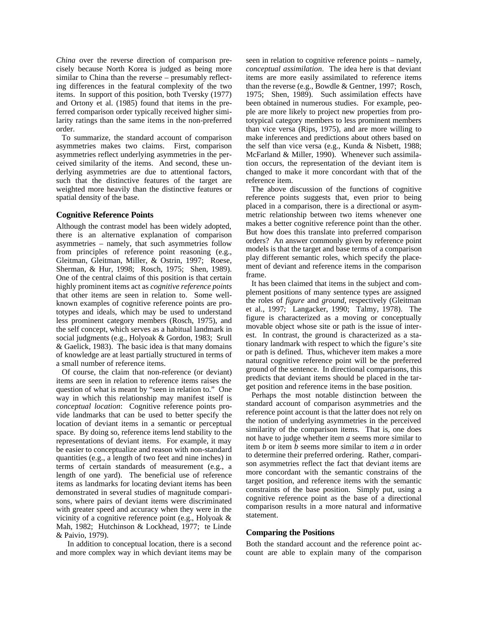*China* over the reverse direction of comparison precisely because North Korea is judged as being more similar to China than the reverse – presumably reflecting differences in the featural complexity of the two items. In support of this position, both Tversky (1977) and Ortony et al. (1985) found that items in the preferred comparison order typically received higher similarity ratings than the same items in the non-preferred order.

To summarize, the standard account of comparison asymmetries makes two claims. First, comparison asymmetries reflect underlying asymmetries in the perceived similarity of the items. And second, these underlying asymmetries are due to attentional factors, such that the distinctive features of the target are weighted more heavily than the distinctive features or spatial density of the base.

### **Cognitive Reference Points**

Although the contrast model has been widely adopted, there is an alternative explanation of comparison asymmetries – namely, that such asymmetries follow from principles of reference point reasoning (e.g., Gleitman, Gleitman, Miller, & Ostrin, 1997; Roese, Sherman, & Hur, 1998; Rosch, 1975; Shen, 1989). One of the central claims of this position is that certain highly prominent items act as *cognitive reference points* that other items are seen in relation to. Some wellknown examples of cognitive reference points are prototypes and ideals, which may be used to understand less prominent category members (Rosch, 1975), and the self concept, which serves as a habitual landmark in social judgments (e.g., Holyoak & Gordon, 1983; Srull & Gaelick, 1983). The basic idea is that many domains of knowledge are at least partially structured in terms of a small number of reference items.

Of course, the claim that non-reference (or deviant) items are seen in relation to reference items raises the question of what is meant by "seen in relation to." One way in which this relationship may manifest itself is *conceptual location*: Cognitive reference points provide landmarks that can be used to better specify the location of deviant items in a semantic or perceptual space. By doing so, reference items lend stability to the representations of deviant items. For example, it may be easier to conceptualize and reason with non-standard quantities (e.g., a length of two feet and nine inches) in terms of certain standards of measurement (e.g., a length of one yard). The beneficial use of reference items as landmarks for locating deviant items has been demonstrated in several studies of magnitude comparisons, where pairs of deviant items were discriminated with greater speed and accuracy when they were in the vicinity of a cognitive reference point (e.g., Holyoak & Mah, 1982; Hutchinson & Lockhead, 1977; te Linde & Paivio, 1979).

In addition to conceptual location, there is a second and more complex way in which deviant items may be

seen in relation to cognitive reference points – namely, *conceptual assimilation*. The idea here is that deviant items are more easily assimilated to reference items than the reverse (e.g., Bowdle & Gentner, 1997; Rosch, 1975; Shen, 1989). Such assimilation effects have been obtained in numerous studies. For example, people are more likely to project new properties from prototypical category members to less prominent members than vice versa (Rips, 1975), and are more willing to make inferences and predictions about others based on the self than vice versa (e.g., Kunda & Nisbett, 1988; McFarland & Miller, 1990). Whenever such assimilation occurs, the representation of the deviant item is changed to make it more concordant with that of the reference item.

The above discussion of the functions of cognitive reference points suggests that, even prior to being placed in a comparison, there is a directional or asymmetric relationship between two items whenever one makes a better cognitive reference point than the other. But how does this translate into preferred comparison orders? An answer commonly given by reference point models is that the target and base terms of a comparison play different semantic roles, which specify the placement of deviant and reference items in the comparison frame.

It has been claimed that items in the subject and complement positions of many sentence types are assigned the roles of *figure* and *ground*, respectively (Gleitman et al., 1997; Langacker, 1990; Talmy, 1978). The figure is characterized as a moving or conceptually movable object whose site or path is the issue of interest. In contrast, the ground is characterized as a stationary landmark with respect to which the figure's site or path is defined. Thus, whichever item makes a more natural cognitive reference point will be the preferred ground of the sentence. In directional comparisons, this predicts that deviant items should be placed in the target position and reference items in the base position.

Perhaps the most notable distinction between the standard account of comparison asymmetries and the reference point account is that the latter does not rely on the notion of underlying asymmetries in the perceived similarity of the comparison items. That is, one does not have to judge whether item *a* seems more similar to item *b* or item *b* seems more similar to item *a* in order to determine their preferred ordering. Rather, comparison asymmetries reflect the fact that deviant items are more concordant with the semantic constrains of the target position, and reference items with the semantic constraints of the base position. Simply put, using a cognitive reference point as the base of a directional comparison results in a more natural and informative statement.

### **Comparing the Positions**

Both the standard account and the reference point account are able to explain many of the comparison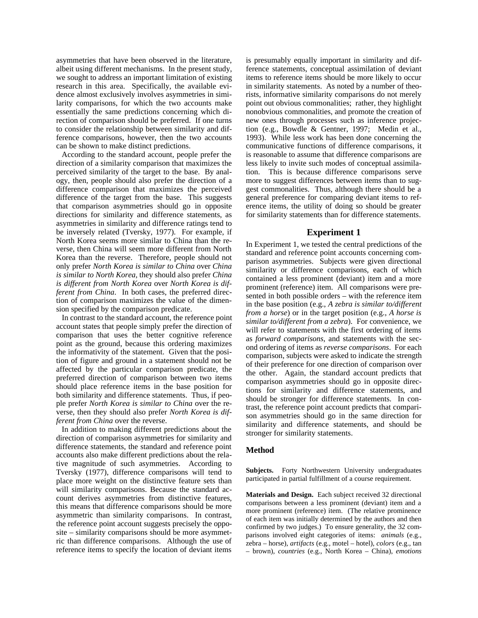asymmetries that have been observed in the literature, albeit using different mechanisms. In the present study, we sought to address an important limitation of existing research in this area. Specifically, the available evidence almost exclusively involves asymmetries in similarity comparisons, for which the two accounts make essentially the same predictions concerning which direction of comparison should be preferred. If one turns to consider the relationship between similarity and difference comparisons, however, then the two accounts can be shown to make distinct predictions.

According to the standard account, people prefer the direction of a similarity comparison that maximizes the perceived similarity of the target to the base. By analogy, then, people should also prefer the direction of a difference comparison that maximizes the perceived difference of the target from the base. This suggests that comparison asymmetries should go in opposite directions for similarity and difference statements, as asymmetries in similarity and difference ratings tend to be inversely related (Tversky, 1977). For example, if North Korea seems more similar to China than the reverse, then China will seem more different from North Korea than the reverse. Therefore, people should not only prefer *North Korea is similar to China* over *China is similar to North Korea*, they should also prefer *China is different from North Korea* over *North Korea is different from China*. In both cases, the preferred direction of comparison maximizes the value of the dimension specified by the comparison predicate.

In contrast to the standard account, the reference point account states that people simply prefer the direction of comparison that uses the better cognitive reference point as the ground, because this ordering maximizes the informativity of the statement. Given that the position of figure and ground in a statement should not be affected by the particular comparison predicate, the preferred direction of comparison between two items should place reference items in the base position for both similarity and difference statements. Thus, if people prefer *North Korea is similar to China* over the reverse, then they should also prefer *North Korea is different from China* over the reverse.

In addition to making different predictions about the direction of comparison asymmetries for similarity and difference statements, the standard and reference point accounts also make different predictions about the relative magnitude of such asymmetries. According to Tversky (1977), difference comparisons will tend to place more weight on the distinctive feature sets than will similarity comparisons. Because the standard account derives asymmetries from distinctive features, this means that difference comparisons should be more asymmetric than similarity comparisons. In contrast, the reference point account suggests precisely the opposite – similarity comparisons should be more asymmetric than difference comparisons. Although the use of reference items to specify the location of deviant items

is presumably equally important in similarity and difference statements, conceptual assimilation of deviant items to reference items should be more likely to occur in similarity statements. As noted by a number of theorists, informative similarity comparisons do not merely point out obvious commonalities; rather, they highlight nonobvious commonalities, and promote the creation of new ones through processes such as inference projection (e.g., Bowdle & Gentner, 1997; Medin et al., 1993). While less work has been done concerning the communicative functions of difference comparisons, it is reasonable to assume that difference comparisons are less likely to invite such modes of conceptual assimilation. This is because difference comparisons serve more to suggest differences between items than to suggest commonalities. Thus, although there should be a general preference for comparing deviant items to reference items, the utility of doing so should be greater for similarity statements than for difference statements.

## **Experiment 1**

In Experiment 1, we tested the central predictions of the standard and reference point accounts concerning comparison asymmetries. Subjects were given directional similarity or difference comparisons, each of which contained a less prominent (deviant) item and a more prominent (reference) item. All comparisons were presented in both possible orders – with the reference item in the base position (e.g., *A zebra is similar to/different from a horse*) or in the target position (e.g., *A horse is similar to/different from a zebra*). For convenience, we will refer to statements with the first ordering of items as *forward comparisons*, and statements with the second ordering of items as *reverse comparisons*. For each comparison, subjects were asked to indicate the strength of their preference for one direction of comparison over the other. Again, the standard account predicts that comparison asymmetries should go in opposite directions for similarity and difference statements, and should be stronger for difference statements. In contrast, the reference point account predicts that comparison asymmetries should go in the same direction for similarity and difference statements, and should be stronger for similarity statements.

### **Method**

**Subjects.** Forty Northwestern University undergraduates participated in partial fulfillment of a course requirement.

**Materials and Design.** Each subject received 32 directional comparisons between a less prominent (deviant) item and a more prominent (reference) item. (The relative prominence of each item was initially determined by the authors and then confirmed by two judges.) To ensure generality, the 32 comparisons involved eight categories of items: *animals* (e.g., zebra – horse), *artifacts* (e.g., motel – hotel), *colors* (e.g., tan – brown), *countries* (e.g., North Korea – China), *emotions*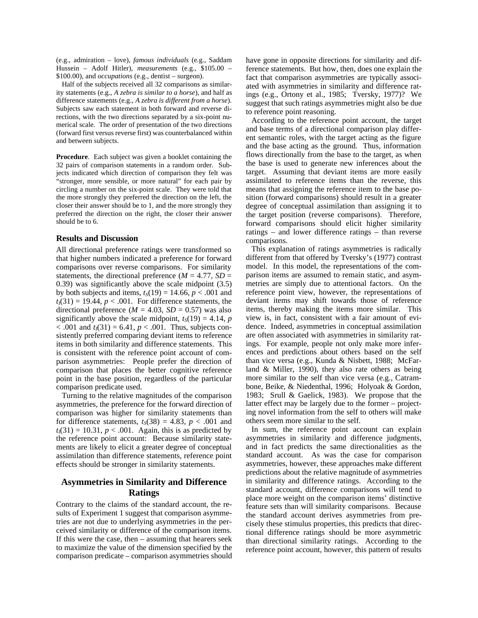(e.g., admiration – love), *famous individuals* (e.g., Saddam Hussein – Adolf Hitler), *measurements* (e.g., \$105.00 – \$100.00), and *occupations* (e.g., dentist – surgeon).

Half of the subjects received all 32 comparisons as similarity statements (e.g., *A zebra is similar to a horse*), and half as difference statements (e.g., *A zebra is different from a horse*). Subjects saw each statement in both forward and reverse directions, with the two directions separated by a six-point numerical scale. The order of presentation of the two directions (forward first versus reverse first) was counterbalanced within and between subjects.

**Procedure**. Each subject was given a booklet containing the 32 pairs of comparison statements in a random order. Subjects indicated which direction of comparison they felt was "stronger, more sensible, or more natural" for each pair by circling a number on the six-point scale. They were told that the more strongly they preferred the direction on the left, the closer their answer should be to 1, and the more strongly they preferred the direction on the right, the closer their answer should be to 6.

#### **Results and Discussion**

All directional preference ratings were transformed so that higher numbers indicated a preference for forward comparisons over reverse comparisons. For similarity statements, the directional preference  $(M = 4.77, SD =$ 0.39) was significantly above the scale midpoint (3.5) by both subjects and items,  $t<sub>S</sub>(19) = 14.66$ ,  $p < .001$  and  $t_I(31) = 19.44$ ,  $p < .001$ . For difference statements, the directional preference ( $M = 4.03$ ,  $SD = 0.57$ ) was also significantly above the scale midpoint,  $t_s(19) = 4.14$ , *p*  $< .001$  and  $t_1(31) = 6.41$ ,  $p < .001$ . Thus, subjects consistently preferred comparing deviant items to reference items in both similarity and difference statements. This is consistent with the reference point account of comparison asymmetries: People prefer the direction of comparison that places the better cognitive reference point in the base position, regardless of the particular comparison predicate used.

Turning to the relative magnitudes of the comparison asymmetries, the preference for the forward direction of comparison was higher for similarity statements than for difference statements,  $t_s(38) = 4.83$ ,  $p < .001$  and  $t_I(31) = 10.31$ ,  $p < .001$ . Again, this is as predicted by the reference point account: Because similarity statements are likely to elicit a greater degree of conceptual assimilation than difference statements, reference point effects should be stronger in similarity statements.

## **Asymmetries in Similarity and Difference Ratings**

Contrary to the claims of the standard account, the results of Experiment 1 suggest that comparison asymmetries are not due to underlying asymmetries in the perceived similarity or difference of the comparison items. If this were the case, then – assuming that hearers seek to maximize the value of the dimension specified by the comparison predicate – comparison asymmetries should have gone in opposite directions for similarity and difference statements. But how, then, does one explain the fact that comparison asymmetries are typically associated with asymmetries in similarity and difference ratings (e.g., Ortony et al., 1985; Tversky, 1977)? We suggest that such ratings asymmetries might also be due to reference point reasoning.

According to the reference point account, the target and base terms of a directional comparison play different semantic roles, with the target acting as the figure and the base acting as the ground. Thus, information flows directionally from the base to the target, as when the base is used to generate new inferences about the target. Assuming that deviant items are more easily assimilated to reference items than the reverse, this means that assigning the reference item to the base position (forward comparisons) should result in a greater degree of conceptual assimilation than assigning it to the target position (reverse comparisons). Therefore, forward comparisons should elicit higher similarity ratings – and lower difference ratings – than reverse comparisons.

This explanation of ratings asymmetries is radically different from that offered by Tversky's (1977) contrast model. In this model, the representations of the comparison items are assumed to remain static, and asymmetries are simply due to attentional factors. On the reference point view, however, the representations of deviant items may shift towards those of reference items, thereby making the items more similar. This view is, in fact, consistent with a fair amount of evidence. Indeed, asymmetries in conceptual assimilation are often associated with asymmetries in similarity ratings. For example, people not only make more inferences and predictions about others based on the self than vice versa (e.g., Kunda & Nisbett, 1988; McFarland & Miller, 1990), they also rate others as being more similar to the self than vice versa (e.g., Catrambone, Beike, & Niedenthal, 1996; Holyoak & Gordon, 1983; Srull & Gaelick, 1983). We propose that the latter effect may be largely due to the former – projecting novel information from the self to others will make others seem more similar to the self.

In sum, the reference point account can explain asymmetries in similarity and difference judgments, and in fact predicts the same directionalities as the standard account. As was the case for comparison asymmetries, however, these approaches make different predictions about the relative magnitude of asymmetries in similarity and difference ratings. According to the standard account, difference comparisons will tend to place more weight on the comparison items' distinctive feature sets than will similarity comparisons. Because the standard account derives asymmetries from precisely these stimulus properties, this predicts that directional difference ratings should be more asymmetric than directional similarity ratings. According to the reference point account, however, this pattern of results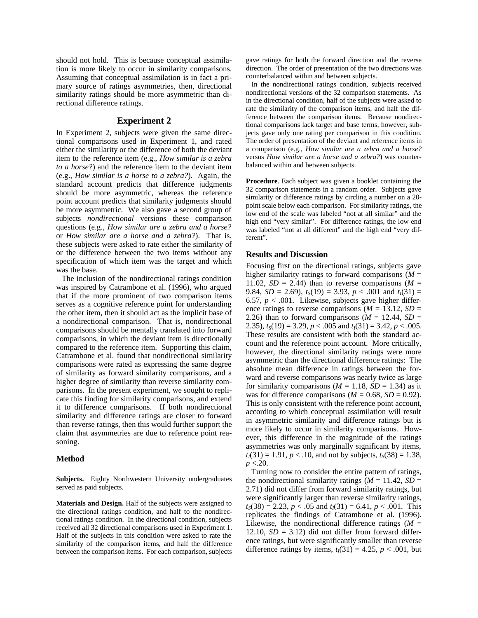should not hold. This is because conceptual assimilation is more likely to occur in similarity comparisons. Assuming that conceptual assimilation is in fact a primary source of ratings asymmetries, then, directional similarity ratings should be more asymmetric than directional difference ratings.

### **Experiment 2**

In Experiment 2, subjects were given the same directional comparisons used in Experiment 1, and rated either the similarity or the difference of both the deviant item to the reference item (e.g., *How similar is a zebra to a horse?*) and the reference item to the deviant item (e.g., *How similar is a horse to a zebra?*). Again, the standard account predicts that difference judgments should be more asymmetric, whereas the reference point account predicts that similarity judgments should be more asymmetric. We also gave a second group of subjects *nondirectional* versions these comparison questions (e.g., *How similar are a zebra and a horse?*  or *How similar are a horse and a zebra?*). That is, these subjects were asked to rate either the similarity of or the difference between the two items without any specification of which item was the target and which was the base.

The inclusion of the nondirectional ratings condition was inspired by Catrambone et al. (1996), who argued that if the more prominent of two comparison items serves as a cognitive reference point for understanding the other item, then it should act as the implicit base of a nondirectional comparison. That is, nondirectional comparisons should be mentally translated into forward comparisons, in which the deviant item is directionally compared to the reference item. Supporting this claim, Catrambone et al. found that nondirectional similarity comparisons were rated as expressing the same degree of similarity as forward similarity comparisons, and a higher degree of similarity than reverse similarity comparisons. In the present experiment, we sought to replicate this finding for similarity comparisons, and extend it to difference comparisons. If both nondirectional similarity and difference ratings are closer to forward than reverse ratings, then this would further support the claim that asymmetries are due to reference point reasoning.

#### **Method**

**Subjects.** Eighty Northwestern University undergraduates served as paid subjects.

**Materials and Design.** Half of the subjects were assigned to the directional ratings condition, and half to the nondirectional ratings condition. In the directional condition, subjects received all 32 directional comparisons used in Experiment 1. Half of the subjects in this condition were asked to rate the similarity of the comparison items, and half the difference between the comparison items. For each comparison, subjects

gave ratings for both the forward direction and the reverse direction. The order of presentation of the two directions was counterbalanced within and between subjects.

In the nondirectional ratings condition, subjects received nondirectional versions of the 32 comparison statements. As in the directional condition, half of the subjects were asked to rate the similarity of the comparison items, and half the difference between the comparison items. Because nondirectional comparisons lack target and base terms, however, subjects gave only one rating per comparison in this condition. The order of presentation of the deviant and reference items in a comparison (e.g., *How similar are a zebra and a horse?* versus *How similar are a horse and a zebra?*) was counterbalanced within and between subjects.

**Procedure**. Each subject was given a booklet containing the 32 comparison statements in a random order. Subjects gave similarity or difference ratings by circling a number on a 20 point scale below each comparison. For similarity ratings, the low end of the scale was labeled "not at all similar" and the high end "very similar". For difference ratings, the low end was labeled "not at all different" and the high end "very different".

#### **Results and Discussion**

Focusing first on the directional ratings, subjects gave higher similarity ratings to forward comparisons  $(M =$ 11.02,  $SD = 2.44$ ) than to reverse comparisons ( $M =$ 9.84,  $SD = 2.69$ ,  $t_S(19) = 3.93$ ,  $p < .001$  and  $t_I(31) =$ 6.57,  $p < .001$ . Likewise, subjects gave higher difference ratings to reverse comparisons ( $M = 13.12$ ,  $SD =$ 2.26) than to forward comparisons ( $M = 12.44$ ,  $SD =$ 2.35),  $t_s(19) = 3.29$ ,  $p < .005$  and  $t_l(31) = 3.42$ ,  $p < .005$ . These results are consistent with both the standard account and the reference point account. More critically, however, the directional similarity ratings were more asymmetric than the directional difference ratings: The absolute mean difference in ratings between the forward and reverse comparisons was nearly twice as large for similarity comparisons ( $M = 1.18$ ,  $SD = 1.34$ ) as it was for difference comparisons ( $M = 0.68$ ,  $SD = 0.92$ ). This is only consistent with the reference point account, according to which conceptual assimilation will result in asymmetric similarity and difference ratings but is more likely to occur in similarity comparisons. However, this difference in the magnitude of the ratings asymmetries was only marginally significant by items,  $t_1(31) = 1.91$ ,  $p < .10$ , and not by subjects,  $t_5(38) = 1.38$ , *p* <.20.

Turning now to consider the entire pattern of ratings, the nondirectional similarity ratings ( $M = 11.42$ ,  $SD =$ 2.71) did not differ from forward similarity ratings, but were significantly larger than reverse similarity ratings,  $t_s(38) = 2.23$ ,  $p < .05$  and  $t_l(31) = 6.41$ ,  $p < .001$ . This replicates the findings of Catrambone et al. (1996). Likewise, the nondirectional difference ratings  $(M =$ 12.10,  $SD = 3.12$ ) did not differ from forward difference ratings, but were significantly smaller than reverse difference ratings by items,  $t_I(31) = 4.25$ ,  $p < .001$ , but